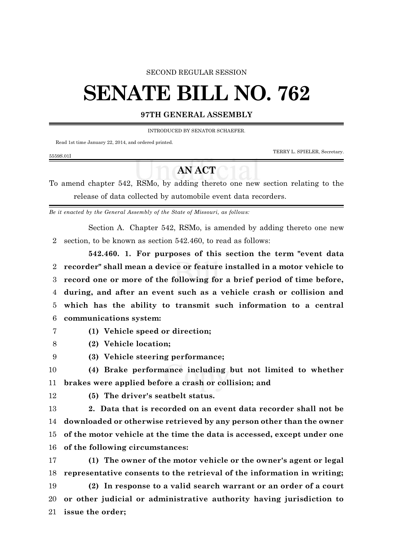## SECOND REGULAR SESSION

## **SENATE BILL NO. 762**

## **97TH GENERAL ASSEMBLY**

INTRODUCED BY SENATOR SCHAEFER.

Read 1st time January 22, 2014, and ordered printed.

TERRY L. SPIELER, Secretary.

## **AN ACT**

To amend chapter 542, RSMo, by adding thereto one new section relating to the release of data collected by automobile event data recorders.

*Be it enacted by the General Assembly of the State of Missouri, as follows:*

Section A. Chapter 542, RSMo, is amended by adding thereto one new section, to be known as section 542.460, to read as follows:

**542.460. 1. For purposes of this section the term "event data recorder" shall mean a device or feature installed in a motor vehicle to record one or more of the following for a brief period of time before, during, and after an event such as a vehicle crash or collision and which has the ability to transmit such information to a central communications system:**

5559S.01I

**(1) Vehicle speed or direction;**

- **(2) Vehicle location;**
- **(3) Vehicle steering performance;**
- **(4) Brake performance including but not limited to whether brakes were applied before a crash or collision; and**
- 

**(5) The driver's seatbelt status.**

**2. Data that is recorded on an event data recorder shall not be**

 **downloaded or otherwise retrieved by any person other than the owner of the motor vehicle at the time the data is accessed, except under one of the following circumstances:**

 **(1) The owner of the motor vehicle or the owner's agent or legal representative consents to the retrieval of the information in writing;**

 **(2) In response to a valid search warrant or an order of a court or other judicial or administrative authority having jurisdiction to issue the order;**